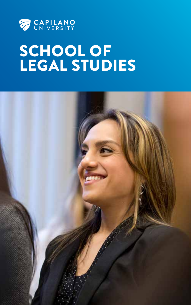

# SCHOOL OF LEGAL STUDIES